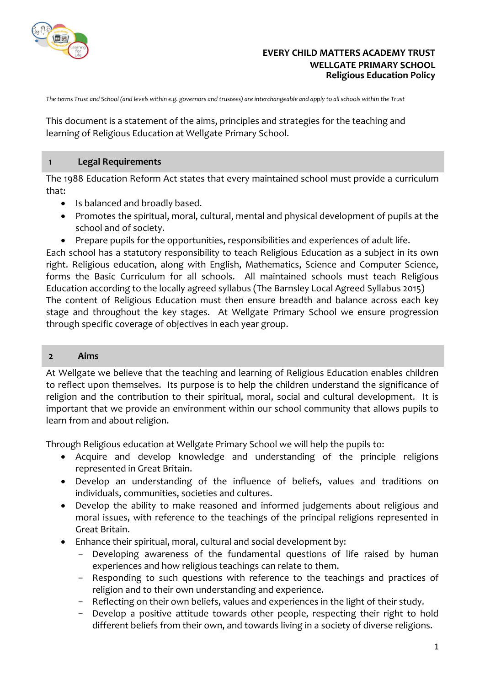

### **EVERY CHILD MATTERS ACADEMY TRUST WELLGATE PRIMARY SCHOOL Religious Education Policy**

*The terms Trust and School (and levels within e.g. governors and trustees) are interchangeable and apply to all schools within the Trust*

This document is a statement of the aims, principles and strategies for the teaching and learning of Religious Education at Wellgate Primary School.

#### **1 Legal Requirements**

The 1988 Education Reform Act states that every maintained school must provide a curriculum that:

- Is balanced and broadly based.
- Promotes the spiritual, moral, cultural, mental and physical development of pupils at the school and of society.
- Prepare pupils for the opportunities, responsibilities and experiences of adult life.

Each school has a statutory responsibility to teach Religious Education as a subject in its own right. Religious education, along with English, Mathematics, Science and Computer Science, forms the Basic Curriculum for all schools. All maintained schools must teach Religious Education according to the locally agreed syllabus (The Barnsley Local Agreed Syllabus 2015) The content of Religious Education must then ensure breadth and balance across each key stage and throughout the key stages. At Wellgate Primary School we ensure progression through specific coverage of objectives in each year group.

#### **2 Aims**

At Wellgate we believe that the teaching and learning of Religious Education enables children to reflect upon themselves. Its purpose is to help the children understand the significance of religion and the contribution to their spiritual, moral, social and cultural development. It is important that we provide an environment within our school community that allows pupils to learn from and about religion.

Through Religious education at Wellgate Primary School we will help the pupils to:

- Acquire and develop knowledge and understanding of the principle religions represented in Great Britain.
- Develop an understanding of the influence of beliefs, values and traditions on individuals, communities, societies and cultures.
- Develop the ability to make reasoned and informed judgements about religious and moral issues, with reference to the teachings of the principal religions represented in Great Britain.
- Enhance their spiritual, moral, cultural and social development by:
	- Developing awareness of the fundamental questions of life raised by human experiences and how religious teachings can relate to them.
	- Responding to such questions with reference to the teachings and practices of religion and to their own understanding and experience.
	- Reflecting on their own beliefs, values and experiences in the light of their study.
	- Develop a positive attitude towards other people, respecting their right to hold different beliefs from their own, and towards living in a society of diverse religions.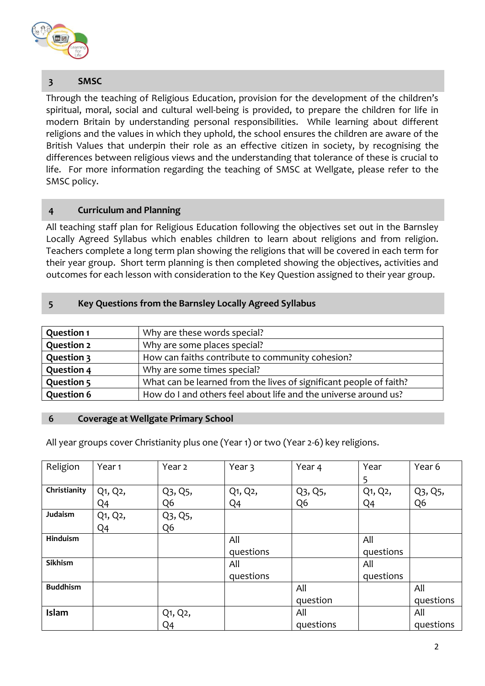

# **3 SMSC**

Through the teaching of Religious Education, provision for the development of the children's spiritual, moral, social and cultural well-being is provided, to prepare the children for life in modern Britain by understanding personal responsibilities. While learning about different religions and the values in which they uphold, the school ensures the children are aware of the British Values that underpin their role as an effective citizen in society, by recognising the differences between religious views and the understanding that tolerance of these is crucial to life. For more information regarding the teaching of SMSC at Wellgate, please refer to the SMSC policy.

### **4 Curriculum and Planning**

All teaching staff plan for Religious Education following the objectives set out in the Barnsley Locally Agreed Syllabus which enables children to learn about religions and from religion. Teachers complete a long term plan showing the religions that will be covered in each term for their year group. Short term planning is then completed showing the objectives, activities and outcomes for each lesson with consideration to the Key Question assigned to their year group.

# **5 Key Questions from the Barnsley Locally Agreed Syllabus**

| <b>Question 1</b> | Why are these words special?                                       |
|-------------------|--------------------------------------------------------------------|
| <b>Question 2</b> | Why are some places special?                                       |
| <b>Question 3</b> | How can faiths contribute to community cohesion?                   |
| <b>Question 4</b> | Why are some times special?                                        |
| <b>Question 5</b> | What can be learned from the lives of significant people of faith? |
| <b>Question 6</b> | How do I and others feel about life and the universe around us?    |

### **6 Coverage at Wellgate Primary School**

All year groups cover Christianity plus one (Year 1) or two (Year 2-6) key religions.

| Religion        | Year <sub>1</sub> | Year 2         | Year 3         | Year 4         | Year            | Year 6         |
|-----------------|-------------------|----------------|----------------|----------------|-----------------|----------------|
|                 |                   |                |                |                | 5               |                |
| Christianity    | Q1, Q2,           | Q3, Q5,        | Q1, Q2,        | Q3, Q5,        | $Q_1$ , $Q_2$ , | Q3, Q5,        |
|                 | Q4                | Q <sub>6</sub> | Q <sub>4</sub> | Q <sub>6</sub> | Q <sub>4</sub>  | Q <sub>6</sub> |
| Judaism         | Q1, Q2,           | Q3, Q5,        |                |                |                 |                |
|                 | Q <sub>4</sub>    | Q <sub>6</sub> |                |                |                 |                |
| Hinduism        |                   |                | All            |                | All             |                |
|                 |                   |                | questions      |                | questions       |                |
| Sikhism         |                   |                | All            |                | All             |                |
|                 |                   |                | questions      |                | questions       |                |
| <b>Buddhism</b> |                   |                |                | All            |                 | All            |
|                 |                   |                |                | question       |                 | questions      |
| Islam           |                   | Q1, Q2,        |                | All            |                 | All            |
|                 |                   | Q4             |                | questions      |                 | questions      |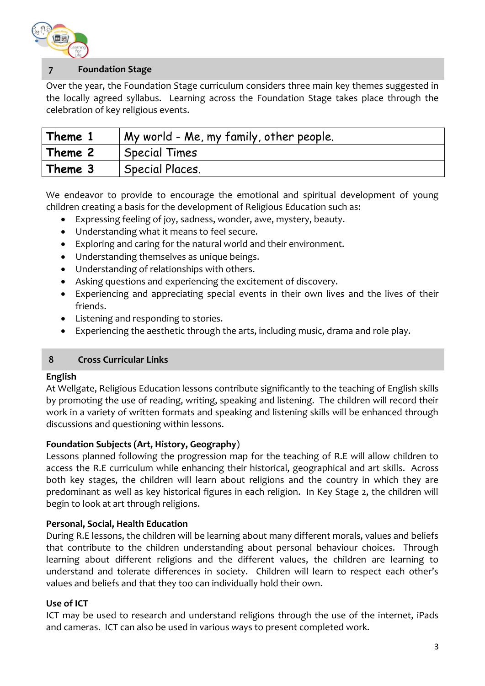

# **7 Foundation Stage**

Over the year, the Foundation Stage curriculum considers three main key themes suggested in the locally agreed syllabus. Learning across the Foundation Stage takes place through the celebration of key religious events.

| Theme 1 | My world - Me, my family, other people. |
|---------|-----------------------------------------|
| Theme 2 | <b>Special Times</b>                    |
| Theme 3 | Special Places.                         |

We endeavor to provide to encourage the emotional and spiritual development of young children creating a basis for the development of Religious Education such as:

- Expressing feeling of joy, sadness, wonder, awe, mystery, beauty.
- Understanding what it means to feel secure.
- Exploring and caring for the natural world and their environment.
- Understanding themselves as unique beings.
- Understanding of relationships with others.
- Asking questions and experiencing the excitement of discovery.
- Experiencing and appreciating special events in their own lives and the lives of their friends.
- Listening and responding to stories.
- Experiencing the aesthetic through the arts, including music, drama and role play.

#### **8 Cross Curricular Links**

#### **English**

At Wellgate, Religious Education lessons contribute significantly to the teaching of English skills by promoting the use of reading, writing, speaking and listening. The children will record their work in a variety of written formats and speaking and listening skills will be enhanced through discussions and questioning within lessons.

#### **Foundation Subjects (Art, History, Geography**)

Lessons planned following the progression map for the teaching of R.E will allow children to access the R.E curriculum while enhancing their historical, geographical and art skills. Across both key stages, the children will learn about religions and the country in which they are predominant as well as key historical figures in each religion. In Key Stage 2, the children will begin to look at art through religions.

#### **Personal, Social, Health Education**

During R.E lessons, the children will be learning about many different morals, values and beliefs that contribute to the children understanding about personal behaviour choices. Through learning about different religions and the different values, the children are learning to understand and tolerate differences in society. Children will learn to respect each other's values and beliefs and that they too can individually hold their own.

#### **Use of ICT**

ICT may be used to research and understand religions through the use of the internet, iPads and cameras. ICT can also be used in various ways to present completed work.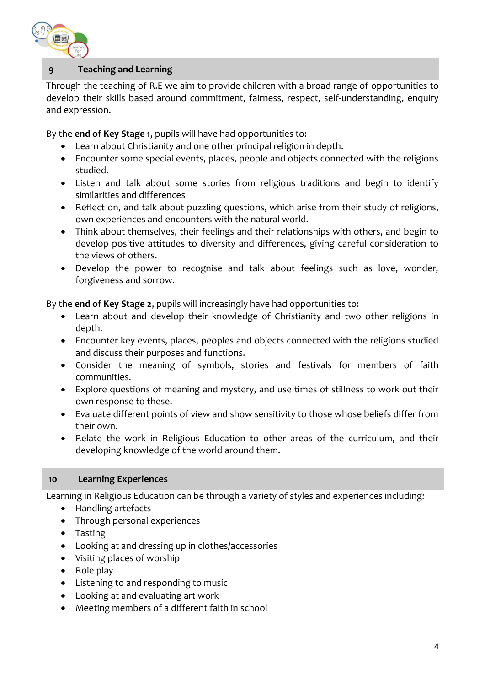

# **9 Teaching and Learning**

Through the teaching of R.E we aim to provide children with a broad range of opportunities to develop their skills based around commitment, fairness, respect, self-understanding, enquiry and expression.

By the **end of Key Stage 1**, pupils will have had opportunities to:

- Learn about Christianity and one other principal religion in depth.
- Encounter some special events, places, people and objects connected with the religions studied.
- Listen and talk about some stories from religious traditions and begin to identify similarities and differences
- Reflect on, and talk about puzzling questions, which arise from their study of religions, own experiences and encounters with the natural world.
- Think about themselves, their feelings and their relationships with others, and begin to develop positive attitudes to diversity and differences, giving careful consideration to the views of others.
- Develop the power to recognise and talk about feelings such as love, wonder, forgiveness and sorrow.

By the **end of Key Stage 2**, pupils will increasingly have had opportunities to:

- Learn about and develop their knowledge of Christianity and two other religions in depth.
- Encounter key events, places, peoples and objects connected with the religions studied and discuss their purposes and functions.
- Consider the meaning of symbols, stories and festivals for members of faith communities.
- Explore questions of meaning and mystery, and use times of stillness to work out their own response to these.
- Evaluate different points of view and show sensitivity to those whose beliefs differ from their own.
- Relate the work in Religious Education to other areas of the curriculum, and their developing knowledge of the world around them.

### **10 Learning Experiences**

Learning in Religious Education can be through a variety of styles and experiences including:

- Handling artefacts
- Through personal experiences
- Tasting
- Looking at and dressing up in clothes/accessories
- Visiting places of worship
- Role play
- Listening to and responding to music
- Looking at and evaluating art work
- Meeting members of a different faith in school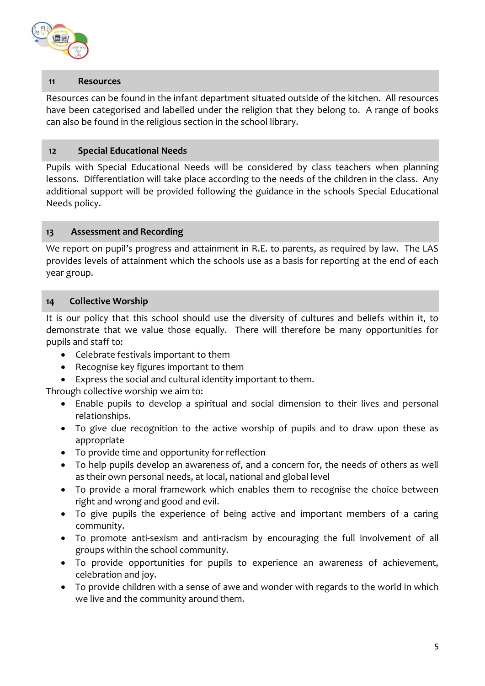

### **11 Resources**

Resources can be found in the infant department situated outside of the kitchen. All resources have been categorised and labelled under the religion that they belong to. A range of books can also be found in the religious section in the school library.

### **12 Special Educational Needs**

Pupils with Special Educational Needs will be considered by class teachers when planning lessons. Differentiation will take place according to the needs of the children in the class. Any additional support will be provided following the guidance in the schools Special Educational Needs policy.

### **13 Assessment and Recording**

We report on pupil's progress and attainment in R.E. to parents, as required by law. The LAS provides levels of attainment which the schools use as a basis for reporting at the end of each year group.

### **14 Collective Worship**

It is our policy that this school should use the diversity of cultures and beliefs within it, to demonstrate that we value those equally. There will therefore be many opportunities for pupils and staff to:

- Celebrate festivals important to them
- Recognise key figures important to them
- Express the social and cultural identity important to them.

Through collective worship we aim to:

- Enable pupils to develop a spiritual and social dimension to their lives and personal relationships.
- To give due recognition to the active worship of pupils and to draw upon these as appropriate
- To provide time and opportunity for reflection
- To help pupils develop an awareness of, and a concern for, the needs of others as well as their own personal needs, at local, national and global level
- To provide a moral framework which enables them to recognise the choice between right and wrong and good and evil.
- To give pupils the experience of being active and important members of a caring community.
- To promote anti-sexism and anti-racism by encouraging the full involvement of all groups within the school community.
- To provide opportunities for pupils to experience an awareness of achievement, celebration and joy.
- To provide children with a sense of awe and wonder with regards to the world in which we live and the community around them.